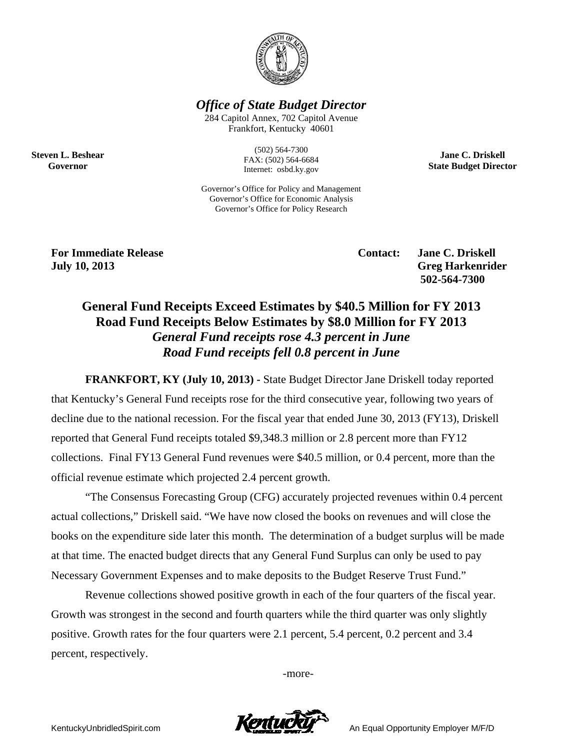

*Office of State Budget Director* 

284 Capitol Annex, 702 Capitol Avenue Frankfort, K Kentucky 406 01

> (502) ) 564-7300 FAX: (5 502) 564-6684 Internet : osbd.ky.gov

Governor's Office for Policy and Management Governor's Office for Economic Analysis Governor's Office for Policy Research

**S State Budget D Director Jane C. Dris skell** 

For Immediate Release<br>July 10, 2013 **J July 10, 201 3** 

**Steven L. Beshear G Governor** 

Contact: Jan

Greg Harkenrider  **502 2-564-7300**  ne C. Driskell

## General Fund Receipts Exceed Estimates by \$40.5 Million for FY 2013 **Road Fund Receipts Below Estimates by \$8.0 Million for FY 2013** *General Fund receipts rose 4.3 percent in June Road Fund receipts fell 0.8 percent in June*

that Kentucky's General Fund receipts rose for the third consecutive year, following two years of decline due to the national recession. For the fiscal year that ended June 30, 2013 (FY13), Driskell reported that General Fund receipts totaled \$9,348.3 million or 2.8 percent more than FY12 collections. Final FY13 General Fund revenues were \$40.5 million, or 0.4 percent, more than the official revenue estimate which projected 2.4 percent growth. **FRANKFORT, KY (July 10, 2013) - State Budget Director Jane Driskell today reported** 

actual collections," Driskell said. "We have now closed the books on revenues and will close the actual collections," Driskell said. "We have now closed the books on revenues and will close the<br>books on the expenditure side later this month. The determination of a budget surplus will be made at that time. The enacted budget directs that any General Fund Surplus can only be used to pay Necessary Government Expenses and to make deposits to the Budget Reserve Trust Fund." "The Consensus Forecasting Group (CFG) accurately projected revenues within 0.4 percent

Growth was strongest in the second and fourth quarters while the third quarter was only slightly positive. Growth rates for the four quarters were 2.1 percent, 5.4 percent, 0.2 percent and 3.4 p percent, resp pectively. Revenue collections showed positive growth in each of the four quarters of the fiscal year.

-more-



An Equal Opportunity Employer M/F/D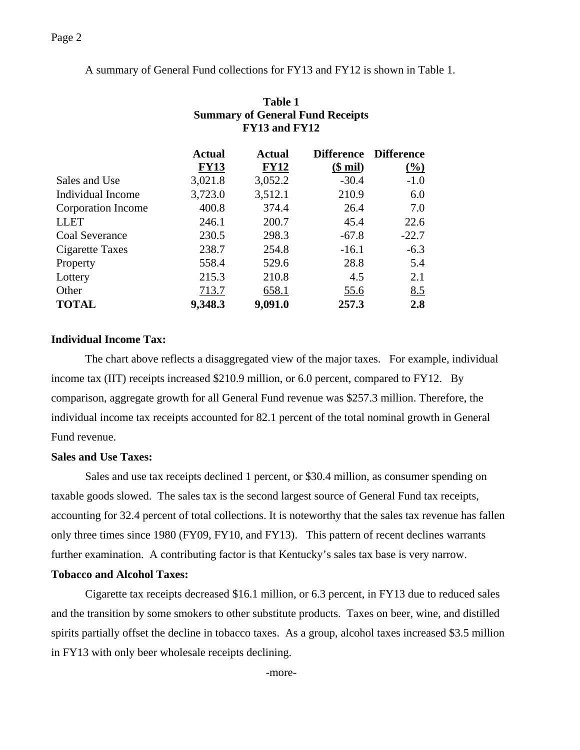### A summary of General Fund collections for FY13 and FY12 is shown in Table 1.

|                    | <b>Summary of General Fund Receipts</b><br>FY13 and FY12 |                              |                             |                                          |  |
|--------------------|----------------------------------------------------------|------------------------------|-----------------------------|------------------------------------------|--|
|                    | <b>Actual</b><br><b>FY13</b>                             | <b>Actual</b><br><b>FY12</b> | <b>Difference</b><br>(\$mi) | <b>Difference</b><br>$\frac{(\%)}{(\%)}$ |  |
| Sales and Use      | 3,021.8                                                  | 3,052.2                      | $-30.4$                     | $-1.0$                                   |  |
| Individual Income  | 3,723.0                                                  | 3,512.1                      | 210.9                       | 6.0                                      |  |
| Corporation Income | 400.8                                                    | 374.4                        | 26.4                        | 7.0                                      |  |
| <b>LLET</b>        | 246.1                                                    | 200.7                        | 45.4                        | 22.6                                     |  |
| Coal Severance     | 230.5                                                    | 298.3                        | $-67.8$                     | $-22.7$                                  |  |
| Cigarette Taxes    | 238.7                                                    | 254.8                        | $-16.1$                     | $-6.3$                                   |  |
| Property           | 558.4                                                    | 529.6                        | 28.8                        | 5.4                                      |  |
| Lottery            | 215.3                                                    | 210.8                        | 4.5                         | 2.1                                      |  |
| Other              | 713.7                                                    | 658.1                        | 55.6                        | 8.5                                      |  |
| <b>TOTAL</b>       | 9,348.3                                                  | 9,091.0                      | 257.3                       | 2.8                                      |  |

# **Table 1 Summary of General Fund Receipts**

### **Individual Income Tax:**

The chart above reflects a disaggregated view of the major taxes. For example, individual income tax (IIT) receipts increased \$210.9 million, or 6.0 percent, compared to FY12. By comparison, aggregate growth for all General Fund revenue was \$257.3 million. Therefore, the individual income tax receipts accounted for 82.1 percent of the total nominal growth in General Fund revenue.

#### **Sales and Use Taxes:**

Sales and use tax receipts declined 1 percent, or \$30.4 million, as consumer spending on taxable goods slowed. The sales tax is the second largest source of General Fund tax receipts, accounting for 32.4 percent of total collections. It is noteworthy that the sales tax revenue has fallen only three times since 1980 (FY09, FY10, and FY13). This pattern of recent declines warrants further examination. A contributing factor is that Kentucky's sales tax base is very narrow.

### **Tobacco and Alcohol Taxes:**

Cigarette tax receipts decreased \$16.1 million, or 6.3 percent, in FY13 due to reduced sales and the transition by some smokers to other substitute products. Taxes on beer, wine, and distilled spirits partially offset the decline in tobacco taxes. As a group, alcohol taxes increased \$3.5 million in FY13 with only beer wholesale receipts declining.

-more-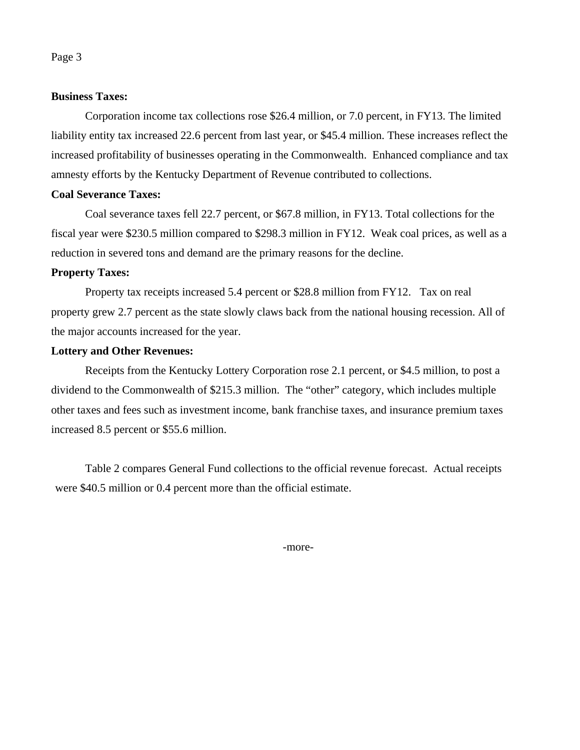#### Page 3

#### **Business Taxes:**

Corporation income tax collections rose \$26.4 million, or 7.0 percent, in FY13. The limited liability entity tax increased 22.6 percent from last year, or \$45.4 million. These increases reflect the increased profitability of businesses operating in the Commonwealth. Enhanced compliance and tax amnesty efforts by the Kentucky Department of Revenue contributed to collections.

#### **Coal Severance Taxes:**

Coal severance taxes fell 22.7 percent, or \$67.8 million, in FY13. Total collections for the fiscal year were \$230.5 million compared to \$298.3 million in FY12. Weak coal prices, as well as a reduction in severed tons and demand are the primary reasons for the decline.

#### **Property Taxes:**

Property tax receipts increased 5.4 percent or \$28.8 million from FY12. Tax on real property grew 2.7 percent as the state slowly claws back from the national housing recession. All of the major accounts increased for the year.

#### **Lottery and Other Revenues:**

Receipts from the Kentucky Lottery Corporation rose 2.1 percent, or \$4.5 million, to post a dividend to the Commonwealth of \$215.3 million. The "other" category, which includes multiple other taxes and fees such as investment income, bank franchise taxes, and insurance premium taxes increased 8.5 percent or \$55.6 million.

Table 2 compares General Fund collections to the official revenue forecast. Actual receipts were \$40.5 million or 0.4 percent more than the official estimate.

-more-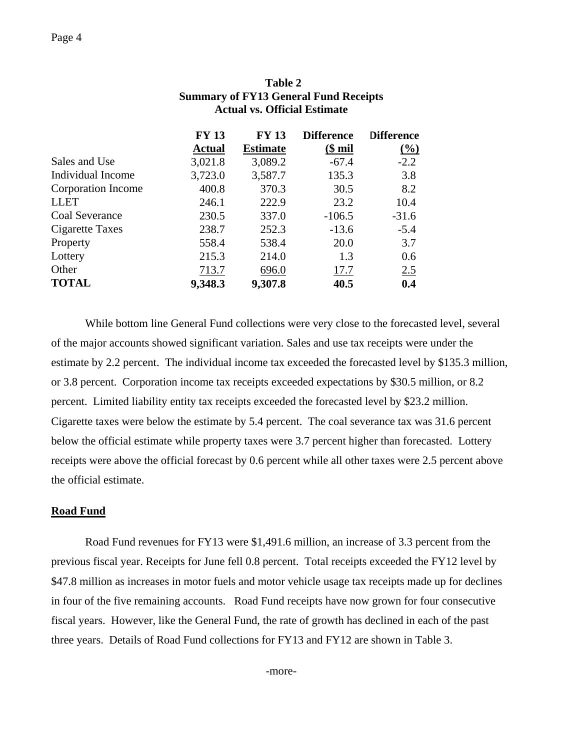|                    | <b>FY 13</b>  | <b>FY 13</b> | <b>Difference</b> | <b>Difference</b> |
|--------------------|---------------|--------------|-------------------|-------------------|
|                    | <b>Actual</b> | Estimate     | $$$ mil           | $\frac{0}{0}$     |
| Sales and Use      | 3,021.8       | 3,089.2      | $-67.4$           | $-2.2$            |
| Individual Income  | 3,723.0       | 3,587.7      | 135.3             | 3.8               |
| Corporation Income | 400.8         | 370.3        | 30.5              | 8.2               |
| <b>LLET</b>        | 246.1         | 222.9        | 23.2              | 10.4              |
| Coal Severance     | 230.5         | 337.0        | $-106.5$          | $-31.6$           |
| Cigarette Taxes    | 238.7         | 252.3        | $-13.6$           | $-5.4$            |
| Property           | 558.4         | 538.4        | 20.0              | 3.7               |
| Lottery            | 215.3         | 214.0        | 1.3               | 0.6               |
| Other              | 713.7         | 696.0        | 17.7              | 2.5               |
| <b>TOTAL</b>       | 9,348.3       | 9,307.8      | 40.5              | 0.4               |

### **Table 2 Summary of FY13 General Fund Receipts Actual vs. Official Estimate**

While bottom line General Fund collections were very close to the forecasted level, several of the major accounts showed significant variation. Sales and use tax receipts were under the estimate by 2.2 percent. The individual income tax exceeded the forecasted level by \$135.3 million, or 3.8 percent. Corporation income tax receipts exceeded expectations by \$30.5 million, or 8.2 percent. Limited liability entity tax receipts exceeded the forecasted level by \$23.2 million. Cigarette taxes were below the estimate by 5.4 percent. The coal severance tax was 31.6 percent below the official estimate while property taxes were 3.7 percent higher than forecasted. Lottery receipts were above the official forecast by 0.6 percent while all other taxes were 2.5 percent above the official estimate.

#### **Road Fund**

Road Fund revenues for FY13 were \$1,491.6 million, an increase of 3.3 percent from the previous fiscal year. Receipts for June fell 0.8 percent. Total receipts exceeded the FY12 level by \$47.8 million as increases in motor fuels and motor vehicle usage tax receipts made up for declines in four of the five remaining accounts. Road Fund receipts have now grown for four consecutive fiscal years. However, like the General Fund, the rate of growth has declined in each of the past three years. Details of Road Fund collections for FY13 and FY12 are shown in Table 3.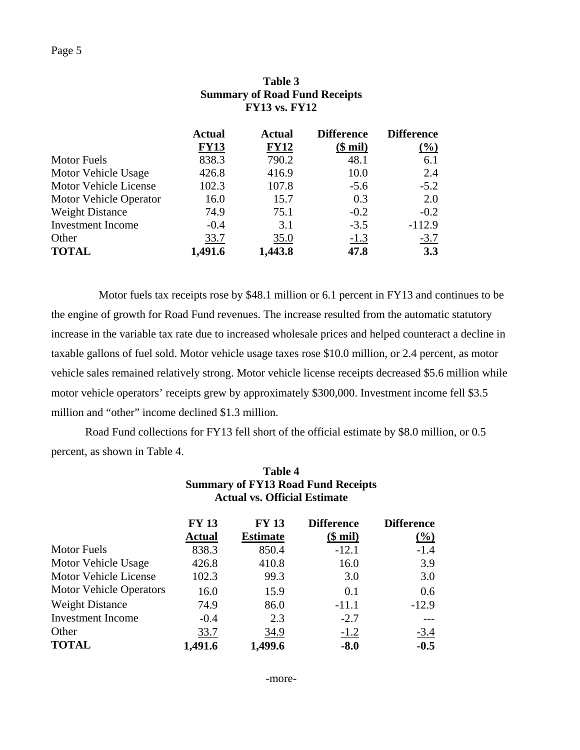|                               | <b>Summary of Road Fund Receipts</b> |               |                   |                   |
|-------------------------------|--------------------------------------|---------------|-------------------|-------------------|
|                               | <b>Actual</b>                        | <b>Actual</b> | <b>Difference</b> | <b>Difference</b> |
|                               | <b>FY13</b>                          | <b>FY12</b>   | ( <b>§</b> mil)   | $(\%)$            |
| Motor Fuels                   | 838.3                                | 790.2         | 48.1              | 6.1               |
| Motor Vehicle Usage           | 426.8                                | 416.9         | 10.0              | 2.4               |
| Motor Vehicle License         | 102.3                                | 107.8         | $-5.6$            | $-5.2$            |
| <b>Motor Vehicle Operator</b> | 16.0                                 | 15.7          | 0.3               | 2.0               |
| <b>Weight Distance</b>        | 74.9                                 | 75.1          | $-0.2$            | $-0.2$            |
| <b>Investment Income</b>      | $-0.4$                               | 3.1           | $-3.5$            | $-112.9$          |
| Other                         | 33.7                                 | 35.0          | $-1.3$            | $-3.7$            |
| <b>TOTAL</b>                  | 1,491.6                              | 1,443.8       | 47.8              | 3.3               |

# **Table 3**

 Motor fuels tax receipts rose by \$48.1 million or 6.1 percent in FY13 and continues to be the engine of growth for Road Fund revenues. The increase resulted from the automatic statutory increase in the variable tax rate due to increased wholesale prices and helped counteract a decline in taxable gallons of fuel sold. Motor vehicle usage taxes rose \$10.0 million, or 2.4 percent, as motor vehicle sales remained relatively strong. Motor vehicle license receipts decreased \$5.6 million while motor vehicle operators' receipts grew by approximately \$300,000. Investment income fell \$3.5 million and "other" income declined \$1.3 million.

Road Fund collections for FY13 fell short of the official estimate by \$8.0 million, or 0.5 percent, as shown in Table 4.

|                                | <b>Summary of FY13 Road Fund Receipts</b><br><b>Actual vs. Official Estimate</b> |                                 |                                      |                                    |
|--------------------------------|----------------------------------------------------------------------------------|---------------------------------|--------------------------------------|------------------------------------|
|                                | <b>FY 13</b><br><b>Actual</b>                                                    | <b>FY 13</b><br><b>Estimate</b> | <b>Difference</b><br><u>(\$ mil)</u> | <b>Difference</b><br>$\frac{9}{6}$ |
| <b>Motor Fuels</b>             | 838.3                                                                            | 850.4                           | $-12.1$                              | $-1.4$                             |
| Motor Vehicle Usage            | 426.8                                                                            | 410.8                           | 16.0                                 | 3.9                                |
| <b>Motor Vehicle License</b>   | 102.3                                                                            | 99.3                            | 3.0                                  | 3.0                                |
| <b>Motor Vehicle Operators</b> | 16.0                                                                             | 15.9                            | 0.1                                  | 0.6                                |
| <b>Weight Distance</b>         | 74.9                                                                             | 86.0                            | $-11.1$                              | $-12.9$                            |
| <b>Investment Income</b>       | $-0.4$                                                                           | 2.3                             | $-2.7$                               |                                    |
| Other                          | 33.7                                                                             | 34.9                            | $-1.2$                               | <u>-3.4</u>                        |
| <b>TOTAL</b>                   | 1,491.6                                                                          | 1,499.6                         | $-8.0$                               | $-0.5$                             |

# **Table 4**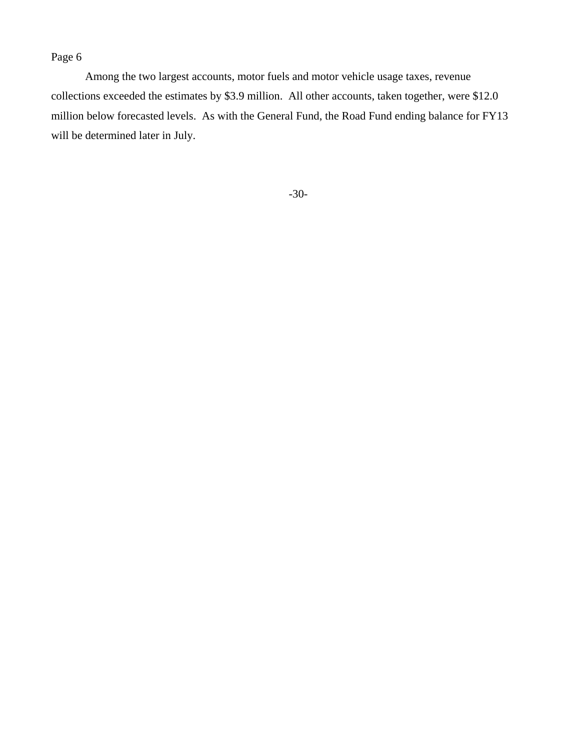Page 6

Among the two largest accounts, motor fuels and motor vehicle usage taxes, revenue collections exceeded the estimates by \$3.9 million. All other accounts, taken together, were \$12.0 million below forecasted levels. As with the General Fund, the Road Fund ending balance for FY13 will be determined later in July.

-30-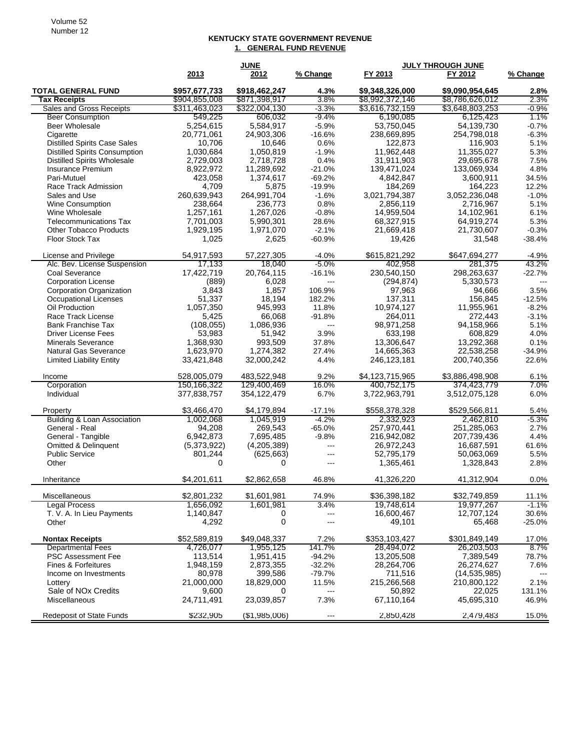#### **KENTUCKY STATE GOVERNMENT REVENUE 1. GENERAL FUND REVENUE**

|                                      |               | <b>JUNE</b>    |                          |                 | <b>JULY THROUGH JUNE</b> |           |
|--------------------------------------|---------------|----------------|--------------------------|-----------------|--------------------------|-----------|
|                                      | 2013          | 2012           | % Change                 | FY 2013         | FY 2012                  | % Change  |
|                                      |               |                |                          |                 |                          |           |
| <b>TOTAL GENERAL FUND</b>            | \$957,677,733 | \$918,462,247  | 4.3%                     | \$9,348,326,000 | \$9,090,954,645          | 2.8%      |
| <b>Tax Receipts</b>                  | \$904,855,008 | \$871,398,917  | 3.8%                     | \$8,992,372,146 | \$8,786,626,012          | 2.3%      |
| Sales and Gross Receipts             | \$311,463,023 | \$322,004,130  | $-3.3%$                  | \$3,616,732,159 | \$3,648,803,253          | $-0.9%$   |
| <b>Beer Consumption</b>              | 549,225       | 606,032        | $-9.4%$                  | 6,190,085       | 6,125,423                | 1.1%      |
| Beer Wholesale                       | 5,254,615     | 5,584,917      | $-5.9%$                  | 53,750,045      | 54,139,730               | $-0.7%$   |
| Cigarette                            | 20,771,061    | 24,903,306     | $-16.6%$                 | 238,669,895     | 254,798,018              | $-6.3%$   |
| <b>Distilled Spirits Case Sales</b>  | 10,706        | 10,646         | 0.6%                     | 122,873         | 116,903                  | 5.1%      |
| <b>Distilled Spirits Consumption</b> | 1,030,684     | 1,050,819      | $-1.9%$                  | 11,962,448      | 11,355,027               | 5.3%      |
| <b>Distilled Spirits Wholesale</b>   | 2,729,003     | 2.718.728      | 0.4%                     | 31,911,903      | 29.695.678               | 7.5%      |
| Insurance Premium                    | 8,922,972     | 11,289,692     | $-21.0%$                 | 139,471,024     | 133,069,934              | 4.8%      |
| Pari-Mutuel                          | 423.058       | 1,374,617      | $-69.2%$                 | 4,842,847       | 3,600,911                | 34.5%     |
| Race Track Admission                 | 4,709         | 5,875          | $-19.9%$                 | 184.269         | 164,223                  | 12.2%     |
| Sales and Use                        | 260,639,943   | 264,991,704    | $-1.6%$                  | 3,021,794,387   | 3,052,236,048            | $-1.0%$   |
| Wine Consumption                     | 238,664       | 236,773        | 0.8%                     | 2,856,119       | 2,716,967                | 5.1%      |
| Wine Wholesale                       | 1,257,161     | 1,267,026      | $-0.8%$                  | 14,959,504      | 14,102,961               | 6.1%      |
| <b>Telecommunications Tax</b>        | 7,701,003     | 5,990,301      | 28.6%                    | 68,327,915      | 64,919,274               | 5.3%      |
| <b>Other Tobacco Products</b>        | 1,929,195     | 1,971,070      | $-2.1%$                  | 21,669,418      | 21,730,607               | $-0.3%$   |
| Floor Stock Tax                      | 1,025         | 2,625          | $-60.9%$                 | 19,426          | 31,548                   | -38.4%    |
|                                      |               |                |                          |                 |                          |           |
| License and Privilege                | 54,917,593    | 57,227,305     | $-4.0%$                  | \$615,821,292   | \$647,694,277            | -4.9%     |
| Alc. Bev. License Suspension         | 17,133        | 18,040         | $-5.0%$                  | 402,958         | 281,375                  | 43.2%     |
| Coal Severance                       | 17,422,719    | 20,764,115     | $-16.1%$                 | 230,540,150     | 298,263,637              | $-22.7%$  |
| <b>Corporation License</b>           | (889)         | 6,028          | ---                      | (294, 874)      | 5,330,573                |           |
| Corporation Organization             | 3,843         | 1,857          | 106.9%                   | 97,963          | 94,666                   | 3.5%      |
| <b>Occupational Licenses</b>         | 51,337        | 18,194         | 182.2%                   | 137,311         | 156,845                  | $-12.5%$  |
| Oil Production                       | 1,057,350     | 945,993        | 11.8%                    | 10,974,127      | 11,955,961               | $-8.2%$   |
| Race Track License                   | 5,425         | 66,068         | $-91.8%$                 | 264,011         | 272,443                  | $-3.1%$   |
| <b>Bank Franchise Tax</b>            | (108, 055)    | 1,086,936      | ---                      | 98,971,258      | 94,158,966               | 5.1%      |
| <b>Driver License Fees</b>           | 53,983        | 51.942         | 3.9%                     | 633,198         | 608.829                  | 4.0%      |
| <b>Minerals Severance</b>            | 1,368,930     | 993,509        | 37.8%                    | 13,306,647      | 13,292,368               | 0.1%      |
| <b>Natural Gas Severance</b>         | 1,623,970     | 1,274,382      | 27.4%                    | 14,665,363      | 22,538,258               | $-34.9%$  |
| <b>Limited Liability Entity</b>      | 33,421,848    | 32,000,242     | 4.4%                     | 246,123,181     | 200,740,356              | 22.6%     |
|                                      |               |                |                          |                 |                          |           |
| Income                               | 528,005,079   | 483,522,948    | 9.2%                     | \$4,123,715,965 | \$3,886,498,908          | 6.1%      |
| Corporation                          | 150,166,322   | 129,400,469    | 16.0%                    | 400,752,175     | 374,423,779              | 7.0%      |
| Individual                           | 377,838,757   | 354, 122, 479  | 6.7%                     | 3,722,963,791   | 3,512,075,128            | 6.0%      |
|                                      |               |                |                          |                 |                          |           |
| Property                             | \$3,466,470   | \$4,179,894    | $-17.1%$                 | \$558,378,328   | \$529,566,811            | 5.4%      |
| Building & Loan Association          | 1,002,068     | 1,045,919      | $-4.2%$                  | 2,332,923       | 2,462,810                | $-5.3\%$  |
| General - Real                       | 94,208        | 269,543        | $-65.0%$                 | 257,970,441     | 251,285,063              | 2.7%      |
| General - Tangible                   | 6,942,873     | 7,695,485      | $-9.8%$                  | 216,942,082     | 207,739,436              | 4.4%      |
| Omitted & Delinquent                 | (5,373,922)   | (4,205,389)    | $\overline{\phantom{a}}$ | 26,972,243      | 16,687,591               | 61.6%     |
| <b>Public Service</b>                | 801,244       | (625, 663)     | ---                      | 52,795,179      | 50,063,069               | 5.5%      |
| Other                                | 0             | 0              | $---$                    | 1,365,461       | 1,328,843                | 2.8%      |
|                                      |               |                |                          |                 |                          |           |
| Inheritance                          | \$4,201,611   | \$2,862,658    | 46.8%                    | 41,326,220      | 41,312,904               | 0.0%      |
|                                      |               |                |                          |                 |                          |           |
| Miscellaneous                        | \$2,801,232   | \$1,601,981    | 74.9%                    | \$36,398,182    | \$32,749,859             | 11.1%     |
| <b>Legal Process</b>                 | 1,656,092     | 1,601,981      | 3.4%                     | 19,748,614      | 19,977,267               | $-1.1\%$  |
| T. V. A. In Lieu Payments            | 1,140,847     | 0              | ---                      | 16,600,467      | 12,707,124               | 30.6%     |
| Other                                | 4,292         | $\mathbf 0$    | ---                      | 49,101          | 65,468                   | $-25.0\%$ |
|                                      |               |                |                          |                 |                          |           |
| <b>Nontax Receipts</b>               | \$52,589,819  | \$49,048,337   | 7.2%                     | \$353,103,427   | \$301,849,149            | 17.0%     |
| <b>Departmental Fees</b>             | 4,726,077     | 1,955,125      | 141.7%                   | 28,494,072      | 26,203,503               | 8.7%      |
| PSC Assessment Fee                   | 113,514       | 1,951,415      | $-94.2%$                 | 13,205,508      | 7,389,549                | 78.7%     |
| <b>Fines &amp; Forfeitures</b>       | 1,948,159     | 2,873,355      | $-32.2%$                 | 28,264,706      | 26,274,627               | 7.6%      |
| Income on Investments                | 80,978        | 399,586        | $-79.7%$                 | 711,516         | (14, 535, 985)           | $--$      |
| Lottery                              | 21,000,000    | 18,829,000     | 11.5%                    | 215,266,568     | 210,800,122              | 2.1%      |
| Sale of NO <sub>x</sub> Credits      | 9,600         | 0              | ---                      | 50,892          | 22,025                   | 131.1%    |
| <b>Miscellaneous</b>                 | 24,711,491    | 23,039,857     | 7.3%                     | 67,110,164      | 45,695,310               | 46.9%     |
|                                      |               |                | $\cdots$                 |                 |                          | 15.0%     |
| <b>Redeposit of State Funds</b>      | \$232,905     | ( \$1,985,006) |                          | 2,850,428       | 2,479,483                |           |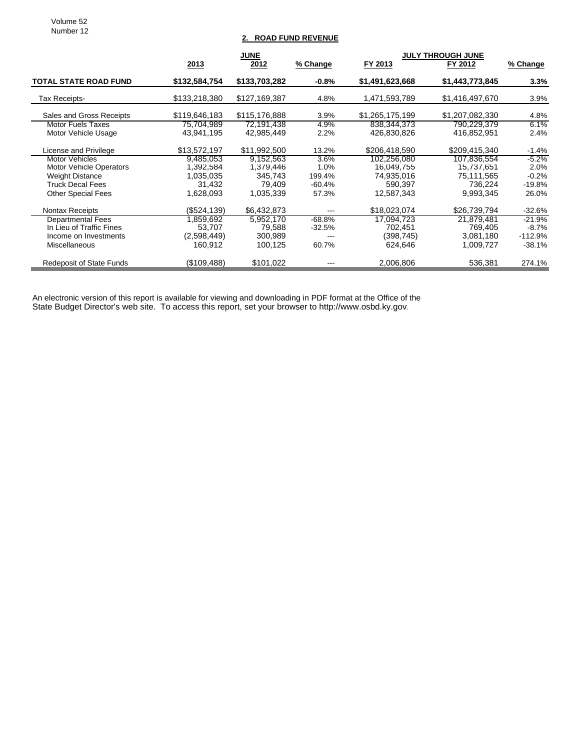Volume 52 Number 12

#### **2. ROAD FUND REVENUE**

|                                 |               | <b>JUNE</b>   | <b>JULY THROUGH JUNE</b> |                 |                 |           |  |
|---------------------------------|---------------|---------------|--------------------------|-----------------|-----------------|-----------|--|
|                                 | 2013          | 2012          | % Change                 | FY 2013         | FY 2012         | % Change  |  |
| <b>TOTAL STATE ROAD FUND</b>    | \$132,584,754 | \$133,703,282 | $-0.8%$                  | \$1,491,623,668 | \$1,443,773,845 | $3.3\%$   |  |
| Tax Receipts-                   | \$133,218,380 | \$127,169,387 | 4.8%                     | 1,471,593,789   | \$1,416,497,670 | 3.9%      |  |
| Sales and Gross Receipts        | \$119,646,183 | \$115,176,888 | 3.9%                     | \$1,265,175,199 | \$1,207,082,330 | 4.8%      |  |
| <b>Motor Fuels Taxes</b>        | 75,704,989    | 72,191,438    | 4.9%                     | 838,344,373     | 790,229,379     | 6.1%      |  |
| Motor Vehicle Usage             | 43,941,195    | 42,985,449    | 2.2%                     | 426,830,826     | 416,852,951     | 2.4%      |  |
| License and Privilege           | \$13,572,197  | \$11,992,500  | 13.2%                    | \$206,418,590   | \$209,415,340   | $-1.4%$   |  |
| <b>Motor Vehicles</b>           | 9,485,053     | 9,152,563     | 3.6%                     | 102,256,080     | 107,836,554     | $-5.2\%$  |  |
| <b>Motor Vehicle Operators</b>  | 1,392,584     | 1,379,446     | 1.0%                     | 16,049,755      | 15,737,651      | 2.0%      |  |
| <b>Weight Distance</b>          | 1,035,035     | 345.743       | 199.4%                   | 74,935,016      | 75,111,565      | $-0.2%$   |  |
| <b>Truck Decal Fees</b>         | 31,432        | 79.409        | $-60.4%$                 | 590.397         | 736,224         | $-19.8%$  |  |
| <b>Other Special Fees</b>       | 1,628,093     | 1,035,339     | 57.3%                    | 12.587.343      | 9,993,345       | 26.0%     |  |
| <b>Nontax Receipts</b>          | (\$524,139)   | \$6,432,873   | ---                      | \$18,023,074    | \$26,739,794    | $-32.6%$  |  |
| <b>Departmental Fees</b>        | 1,859,692     | 5,952,170     | $-68.8%$                 | 17,094,723      | 21,879,481      | $-21.9%$  |  |
| In Lieu of Traffic Fines        | 53,707        | 79,588        | $-32.5%$                 | 702,451         | 769,405         | $-8.7%$   |  |
| Income on Investments           | (2,598,449)   | 300,989       | ---                      | (398, 745)      | 3,081,180       | $-112.9%$ |  |
| Miscellaneous                   | 160.912       | 100,125       | 60.7%                    | 624,646         | 1,009,727       | $-38.1%$  |  |
| <b>Redeposit of State Funds</b> | (\$109,488)   | \$101,022     |                          | 2,006,806       | 536,381         | 274.1%    |  |

An electronic version of this report is available for viewing and downloading in PDF format at the Office of the State Budget Director's web site. To access this report, set your browser to http://www.osbd.ky.gov.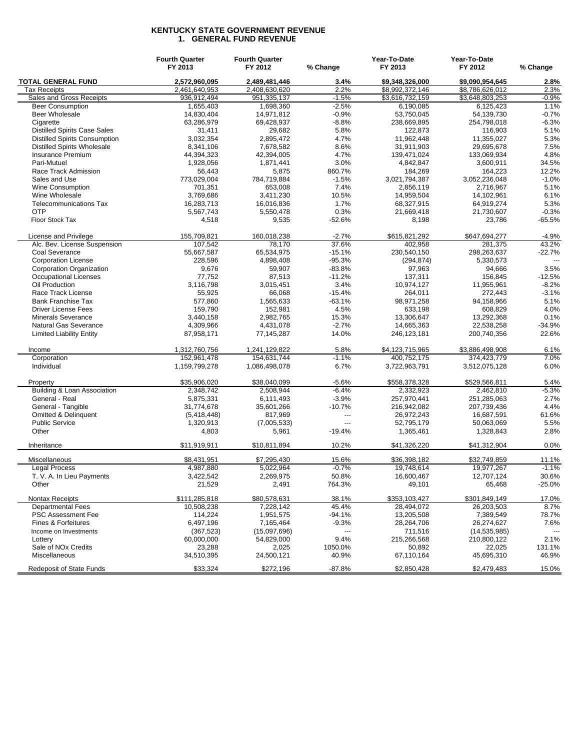#### **KENTUCKY STATE GOVERNMENT REVENUE 1. GENERAL FUND REVENUE**

|                                        | <b>Fourth Quarter</b><br>FY 2013 | <b>Fourth Quarter</b><br>FY 2012 | % Change                 | Year-To-Date<br>FY 2013 | Year-To-Date<br>FY 2012 | % Change |
|----------------------------------------|----------------------------------|----------------------------------|--------------------------|-------------------------|-------------------------|----------|
| <b>TOTAL GENERAL FUND</b>              | 2,572,960,095                    | 2,489,481,446                    | 3.4%                     | \$9,348,326,000         | \$9,090,954,645         | 2.8%     |
| <b>Tax Receipts</b>                    | 2,461,640,953                    | 2,408,630,620                    | 2.2%                     | \$8,992,372,146         | \$8,786,626,012         | 2.3%     |
| Sales and Gross Receipts               | 936,912,494                      | 951,335,137                      | $-1.5%$                  | \$3,616,732,159         | \$3,648,803,253         | $-0.9%$  |
| <b>Beer Consumption</b>                | 1,655,403                        | 1,698,360                        | $-2.5%$                  | 6.190.085               | 6.125.423               | 1.1%     |
| <b>Beer Wholesale</b>                  | 14,830,404                       | 14,971,812                       | $-0.9%$                  | 53,750,045              | 54,139,730              | $-0.7%$  |
| Cigarette                              | 63,286,979                       | 69,428,937                       | $-8.8%$                  | 238,669,895             | 254,798,018             | $-6.3%$  |
| <b>Distilled Spirits Case Sales</b>    | 31,411                           | 29,682                           | 5.8%                     | 122,873                 | 116,903                 | 5.1%     |
| <b>Distilled Spirits Consumption</b>   | 3,032,354                        | 2,895,472                        | 4.7%                     | 11,962,448              | 11,355,027              | 5.3%     |
| <b>Distilled Spirits Wholesale</b>     | 8,341,106                        | 7,678,582                        | 8.6%                     | 31,911,903              | 29,695,678              | 7.5%     |
| <b>Insurance Premium</b>               | 44,394,323                       | 42,394,005                       | 4.7%                     | 139,471,024             | 133,069,934             | 4.8%     |
| Pari-Mutuel                            | 1,928,056                        | 1,871,441                        | 3.0%                     | 4,842,847               | 3,600,911               | 34.5%    |
| Race Track Admission                   | 56,443                           | 5,875                            | 860.7%                   | 184,269                 | 164,223                 | 12.2%    |
| Sales and Use                          | 773.029.004                      | 784,719,884                      | $-1.5%$                  | 3,021,794,387           | 3,052,236,048           | $-1.0%$  |
| Wine Consumption                       | 701,351                          | 653,008                          | 7.4%                     | 2,856,119               | 2,716,967               | 5.1%     |
| Wine Wholesale                         | 3,769,686                        | 3,411,230                        | 10.5%                    | 14,959,504              | 14,102,961              | 6.1%     |
| <b>Telecommunications Tax</b>          | 16,283,713                       | 16,016,836                       | 1.7%                     | 68,327,915              | 64,919,274              | 5.3%     |
| <b>OTP</b>                             | 5,567,743                        |                                  | 0.3%                     | 21,669,418              | 21,730,607              | $-0.3%$  |
|                                        |                                  | 5,550,478                        |                          |                         |                         |          |
| Floor Stock Tax                        | 4,518                            | 9,535                            | -52.6%                   | 8,198                   | 23,786                  | -65.5%   |
| License and Privilege                  | 155,709,821                      | 160,018,238                      | $-2.7%$                  | \$615,821,292           | \$647,694,277           | $-4.9%$  |
| Alc. Bev. License Suspension           | 107.542                          | 78,170                           | 37.6%                    | 402.958                 | 281,375                 | 43.2%    |
| Coal Severance                         | 55,667,587                       | 65,534,975                       | $-15.1%$                 | 230,540,150             | 298,263,637             | $-22.7%$ |
| <b>Corporation License</b>             | 228,596                          | 4,898,408                        | $-95.3%$                 | (294, 874)              | 5,330,573               |          |
| <b>Corporation Organization</b>        | 9,676                            | 59,907                           | $-83.8%$                 | 97,963                  | 94,666                  | 3.5%     |
| <b>Occupational Licenses</b>           | 77,752                           | 87,513                           | $-11.2%$                 | 137,311                 | 156,845                 | $-12.5%$ |
| Oil Production                         | 3,116,798                        | 3,015,451                        | 3.4%                     | 10,974,127              | 11,955,961              | $-8.2%$  |
| Race Track License                     | 55,925                           | 66,068                           | $-15.4%$                 | 264,011                 | 272,443                 | $-3.1%$  |
| <b>Bank Franchise Tax</b>              | 577,860                          | 1,565,633                        | $-63.1%$                 | 98,971,258              | 94,158,966              | 5.1%     |
| <b>Driver License Fees</b>             | 159,790                          | 152,981                          | 4.5%                     | 633,198                 | 608,829                 | 4.0%     |
| <b>Minerals Severance</b>              | 3,440,158                        | 2,982,765                        | 15.3%                    | 13,306,647              | 13,292,368              | 0.1%     |
| Natural Gas Severance                  | 4,309,966                        | 4,431,078                        | $-2.7%$                  | 14,665,363              | 22,538,258              | $-34.9%$ |
| <b>Limited Liability Entity</b>        | 87,958,171                       | 77,145,287                       | 14.0%                    | 246,123,181             | 200,740,356             | 22.6%    |
| Income                                 | 1,312,760,756                    | 1,241,129,822                    | 5.8%                     | \$4,123,715,965         | \$3,886,498,908         | 6.1%     |
| Corporation                            | 152,961,478                      | 154,631,744                      | $-1.1%$                  | 400,752,175             | 374,423,779             | 7.0%     |
| Individual                             | 1,159,799,278                    | 1,086,498,078                    | 6.7%                     | 3,722,963,791           | 3,512,075,128           | 6.0%     |
| Property                               | \$35,906,020                     | \$38,040,099                     | $-5.6%$                  | \$558,378,328           | \$529,566,811           | 5.4%     |
| <b>Building &amp; Loan Association</b> | 2,348,742                        | 2,508,944                        | $-6.4%$                  | 2,332,923               | 2,462,810               | $-5.3%$  |
| General - Real                         | 5,875,331                        | 6,111,493                        | $-3.9%$                  | 257,970,441             | 251,285,063             | 2.7%     |
| General - Tangible                     | 31,774,678                       | 35,601,266                       | $-10.7%$                 | 216,942,082             | 207,739,436             | 4.4%     |
| <b>Omitted &amp; Delinquent</b>        | (5,418,448)                      | 817,969                          | $\overline{\phantom{a}}$ | 26,972,243              | 16,687,591              | 61.6%    |
| <b>Public Service</b>                  | 1,320,913                        | (7,005,533)                      | ---                      | 52,795,179              | 50,063,069              | 5.5%     |
| Other                                  | 4,803                            | 5,961                            | $-19.4%$                 | 1,365,461               | 1,328,843               | 2.8%     |
| Inheritance                            | \$11,919,911                     | \$10,811,894                     | 10.2%                    | \$41,326,220            | \$41,312,904            | 0.0%     |
| Miscellaneous                          | \$8,431,951                      | \$7,295,430                      | 15.6%                    | \$36,398,182            | \$32,749,859            | 11.1%    |
| <b>Legal Process</b>                   | 4,987,880                        | 5,022,964                        | $-0.7%$                  | 19,748,614              | 19,977,267              | $-1.1%$  |
| T. V. A. In Lieu Payments              | 3,422,542                        | 2,269,975                        | 50.8%                    | 16,600,467              | 12,707,124              | 30.6%    |
| Other                                  | 21,529                           | 2,491                            | 764.3%                   | 49,101                  | 65,468                  | -25.0%   |
| <b>Nontax Receipts</b>                 | \$111,285,818                    | \$80,578,631                     | 38.1%                    | \$353.103.427           | \$301,849,149           | 17.0%    |
| <b>Departmental Fees</b>               | 10,508,238                       | 7,228,142                        | 45.4%                    | 28,494,072              | 26,203,503              | 8.7%     |
| <b>PSC Assessment Fee</b>              | 114,224                          | 1,951,575                        | -94.1%                   | 13,205,508              | 7,389,549               | 78.7%    |
| <b>Fines &amp; Forfeitures</b>         | 6,497,196                        | 7,165,464                        | $-9.3%$                  | 28,264,706              | 26,274,627              | 7.6%     |
| Income on Investments                  | (367, 523)                       | (15,097,696)                     | ---                      | 711,516                 | (14, 535, 985)          |          |
| Lottery                                | 60,000,000                       | 54,829,000                       | 9.4%                     | 215,266,568             | 210,800,122             | 2.1%     |
| Sale of NO <sub>x</sub> Credits        | 23,288                           | 2,025                            | 1050.0%                  | 50,892                  | 22,025                  | 131.1%   |
| Miscellaneous                          | 34,510,395                       | 24,500,121                       | 40.9%                    | 67,110,164              | 45,695,310              | 46.9%    |
| <b>Redeposit of State Funds</b>        | \$33,324                         | \$272,196                        | $-87.8%$                 | \$2,850,428             | \$2,479,483             | 15.0%    |